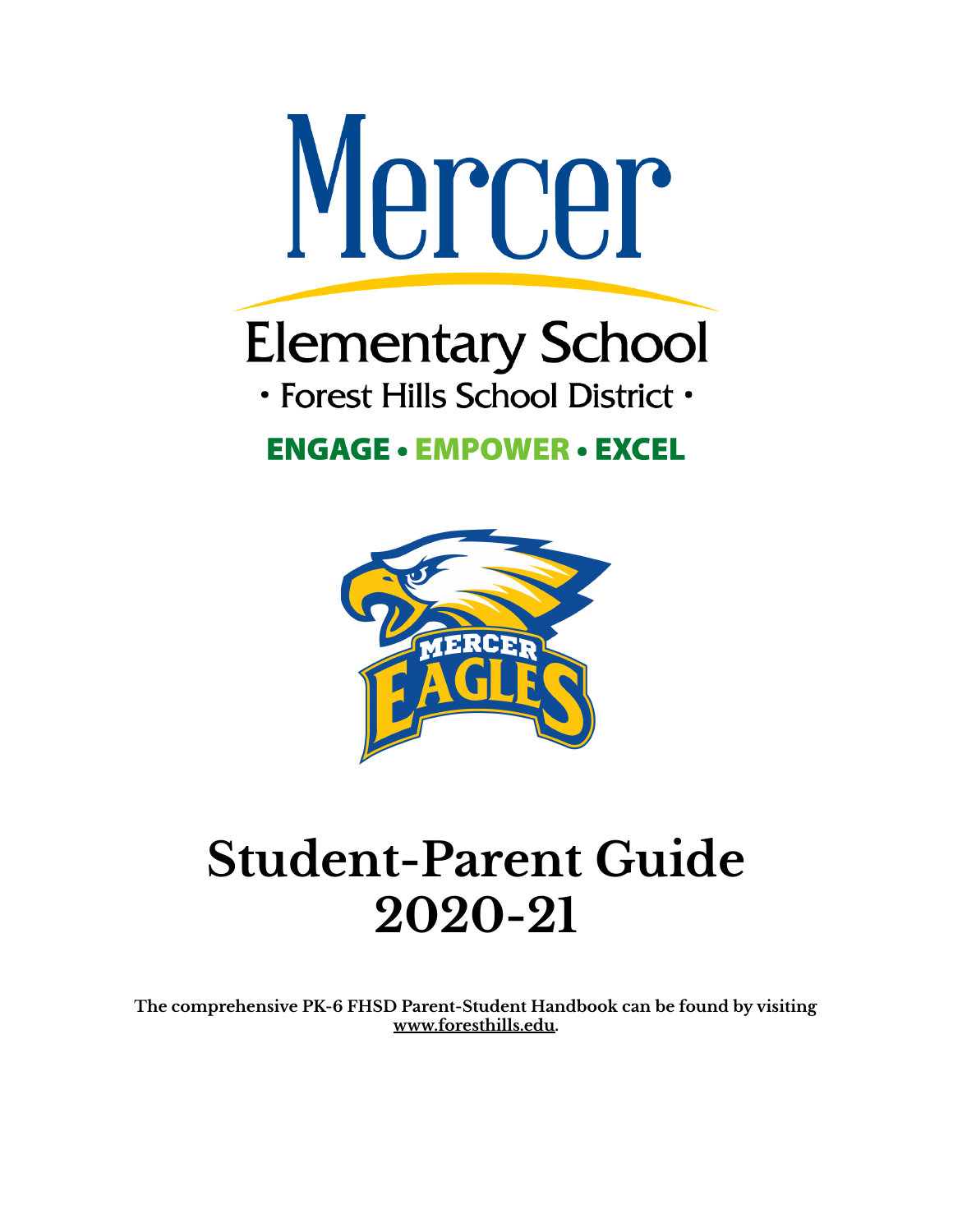

# **Elementary School**

· Forest Hills School District ·

### **ENGAGE • EMPOWER • EXCEL**



## **Student-Parent Guide 2020-21**

**The comprehensive PK-6 FHSD Parent-Student Handbook can be found by visiting www.foresthills.edu.**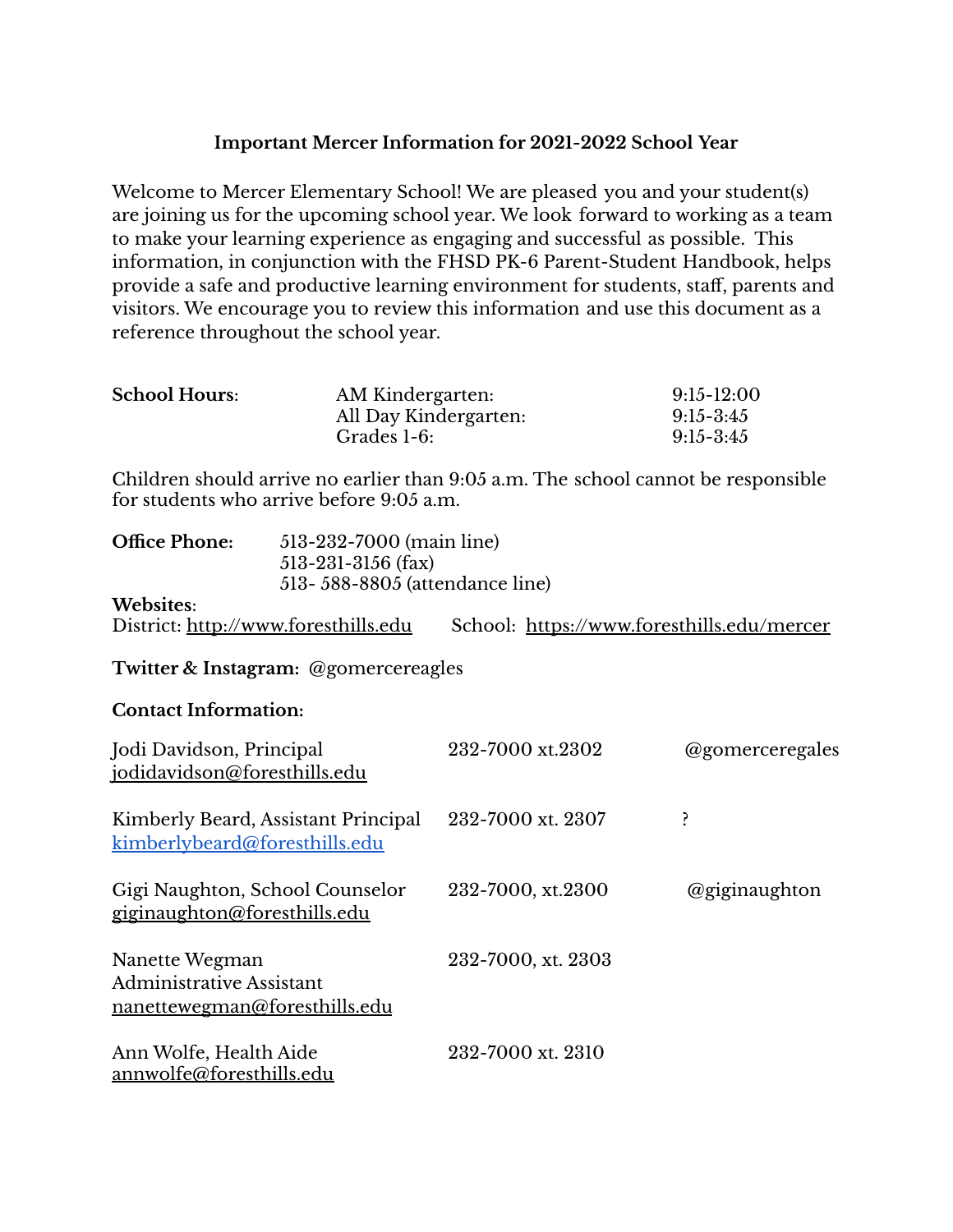#### **Important Mercer Information for 2021-2022 School Year**

Welcome to Mercer Elementary School! We are pleased you and your student(s) are joining us for the upcoming school year. We look forward to working as a team to make your learning experience as engaging and successful as possible. This information, in conjunction with the FHSD PK-6 Parent-Student Handbook, helps provide a safe and productive learning environment for students, staff, parents and visitors. We encourage you to review this information and use this document as a reference throughout the school year.

| <b>School Hours:</b> | AM Kindergarten:      | $9:15-12:00$  |
|----------------------|-----------------------|---------------|
|                      | All Day Kindergarten: | $9:15 - 3:45$ |
|                      | Grades 1-6:           | $9:15 - 3:45$ |

Children should arrive no earlier than 9:05 a.m. The school cannot be responsible for students who arrive before 9:05 a.m.

| <b>Office Phone:</b><br>513-232-7000 (main line)<br>$513 - 231 - 3156$ (fax)<br>513 - 588 - 8805 (attendance line) |                                            |                 |
|--------------------------------------------------------------------------------------------------------------------|--------------------------------------------|-----------------|
| <b>Websites:</b><br>District: http://www.foresthills.edu                                                           | School: https://www.foresthills.edu/mercer |                 |
| Twitter & Instagram: @gomercereagles                                                                               |                                            |                 |
| <b>Contact Information:</b>                                                                                        |                                            |                 |
| Jodi Davidson, Principal<br>jodidavidson@foresthills.edu                                                           | 232-7000 xt.2302                           | @gomerceregales |
| Kimberly Beard, Assistant Principal<br>kimberlybeard@foresthills.edu                                               | 232-7000 xt. 2307                          | ŗ               |
| Gigi Naughton, School Counselor<br>giginaughton@foresthills.edu                                                    | 232-7000, xt.2300                          | @giginaughton   |
| Nanette Wegman<br>Administrative Assistant<br>nanettewegman@foresthills.edu                                        | 232-7000, xt. 2303                         |                 |
| Ann Wolfe, Health Aide<br>annwolfe@foresthills.edu                                                                 | 232-7000 xt. 2310                          |                 |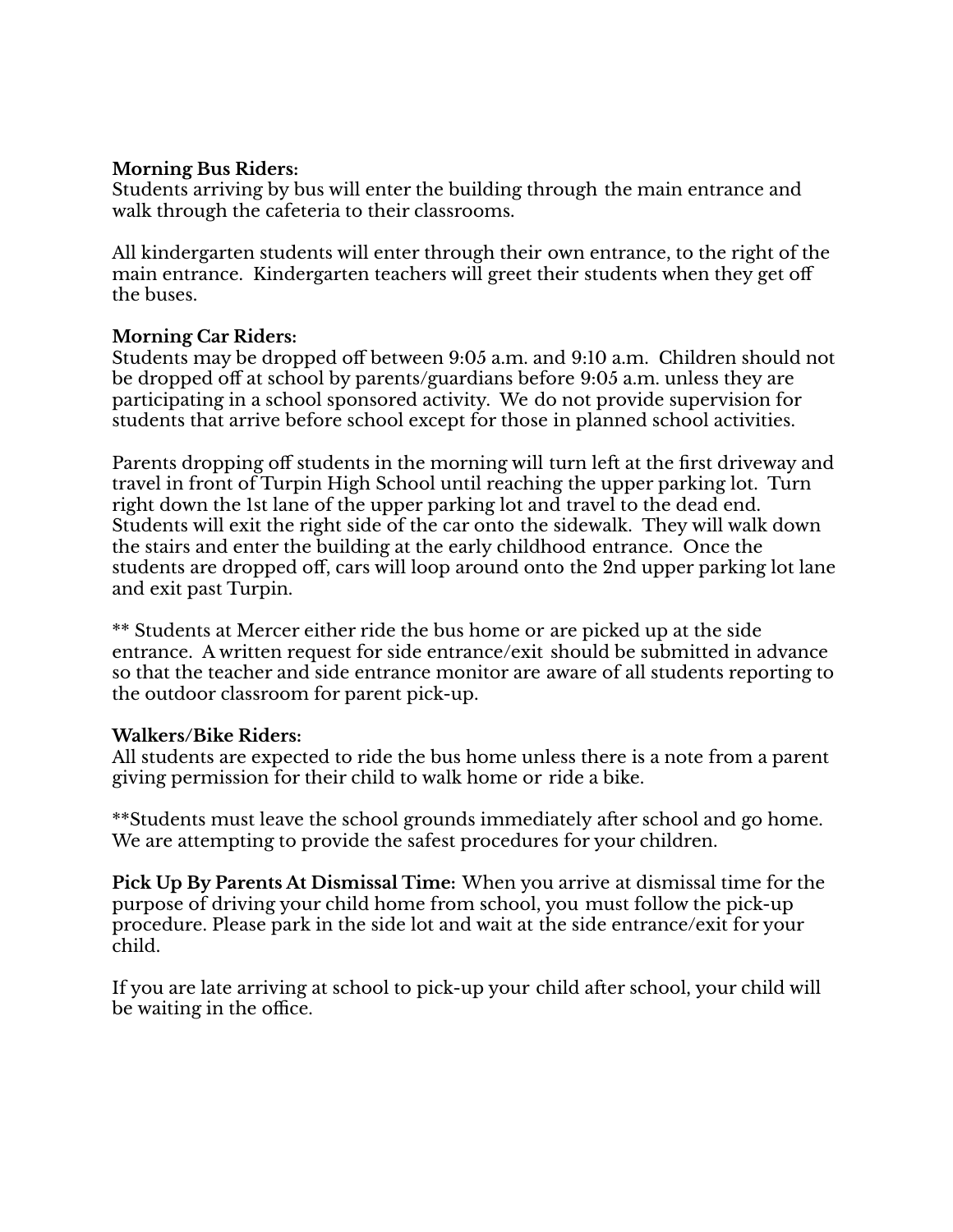#### **Morning Bus Riders:**

Students arriving by bus will enter the building through the main entrance and walk through the cafeteria to their classrooms.

All kindergarten students will enter through their own entrance, to the right of the main entrance. Kindergarten teachers will greet their students when they get off the buses.

#### **Morning Car Riders:**

Students may be dropped off between 9:05 a.m. and 9:10 a.m. Children should not be dropped off at school by parents/guardians before 9:05 a.m. unless they are participating in a school sponsored activity. We do not provide supervision for students that arrive before school except for those in planned school activities.

Parents dropping off students in the morning will turn left at the first driveway and travel in front of Turpin High School until reaching the upper parking lot. Turn right down the 1st lane of the upper parking lot and travel to the dead end. Students will exit the right side of the car onto the sidewalk. They will walk down the stairs and enter the building at the early childhood entrance. Once the students are dropped off, cars will loop around onto the 2nd upper parking lot lane and exit past Turpin.

\*\* Students at Mercer either ride the bus home or are picked up at the side entrance. A written request for side entrance/exit should be submitted in advance so that the teacher and side entrance monitor are aware of all students reporting to the outdoor classroom for parent pick-up.

#### **Walkers/Bike Riders:**

All students are expected to ride the bus home unless there is a note from a parent giving permission for their child to walk home or ride a bike.

\*\*Students must leave the school grounds immediately after school and go home. We are attempting to provide the safest procedures for your children.

**Pick Up By Parents At Dismissal Time:** When you arrive at dismissal time for the purpose of driving your child home from school, you must follow the pick-up procedure. Please park in the side lot and wait at the side entrance/exit for your child.

If you are late arriving at school to pick-up your child after school, your child will be waiting in the office.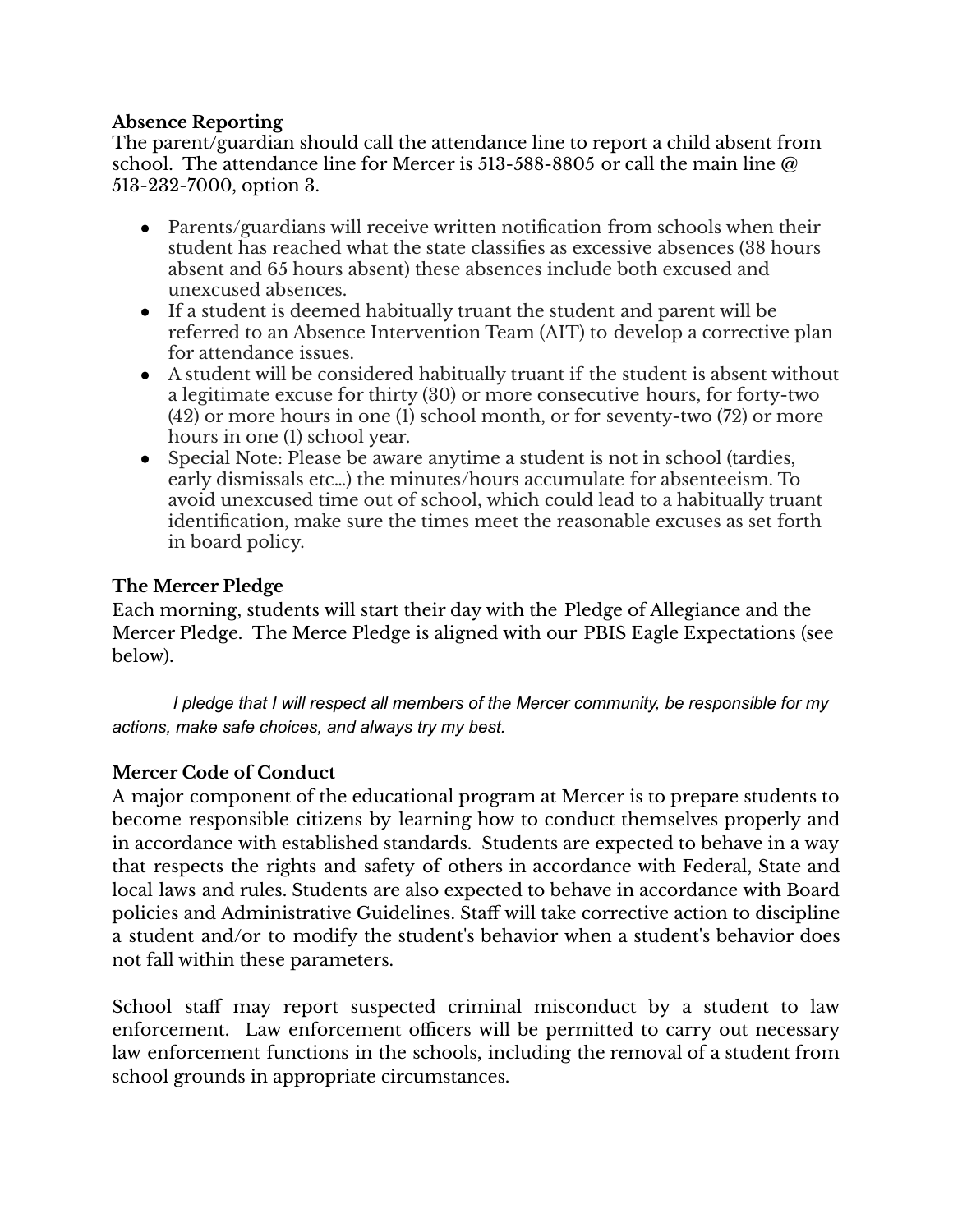#### **Absence Reporting**

The parent/guardian should call the attendance line to report a child absent from school. The attendance line for Mercer is 513-588-8805 or call the main line  $\omega$ 513-232-7000, option 3.

- Parents/guardians will receive written notification from schools when their student has reached what the state classifies as excessive absences (38 hours absent and 65 hours absent) these absences include both excused and unexcused absences.
- If a student is deemed habitually truant the student and parent will be referred to an Absence Intervention Team (AIT) to develop a corrective plan for attendance issues.
- A student will be considered habitually truant if the student is absent without a legitimate excuse for thirty (30) or more consecutive hours, for forty-two (42) or more hours in one (1) school month, or for seventy-two (72) or more hours in one (1) school year.
- Special Note: Please be aware anytime a student is not in school (tardies, early dismissals etc…) the minutes/hours accumulate for absenteeism. To avoid unexcused time out of school, which could lead to a habitually truant identification, make sure the times meet the reasonable excuses as set forth in board policy.

#### **The Mercer Pledge**

Each morning, students will start their day with the Pledge of Allegiance and the Mercer Pledge. The Merce Pledge is aligned with our PBIS Eagle Expectations (see below).

*I pledge that I will respect all members of the Mercer community, be responsible for my actions, make safe choices, and always try my best.*

#### **Mercer Code of Conduct**

A major component of the educational program at Mercer is to prepare students to become responsible citizens by learning how to conduct themselves properly and in accordance with established standards. Students are expected to behave in a way that respects the rights and safety of others in accordance with Federal, State and local laws and rules. Students are also expected to behave in accordance with Board policies and Administrative Guidelines. Staff will take corrective action to discipline a student and/or to modify the student's behavior when a student's behavior does not fall within these parameters.

School staff may report suspected criminal misconduct by a student to law enforcement. Law enforcement officers will be permitted to carry out necessary law enforcement functions in the schools, including the removal of a student from school grounds in appropriate circumstances.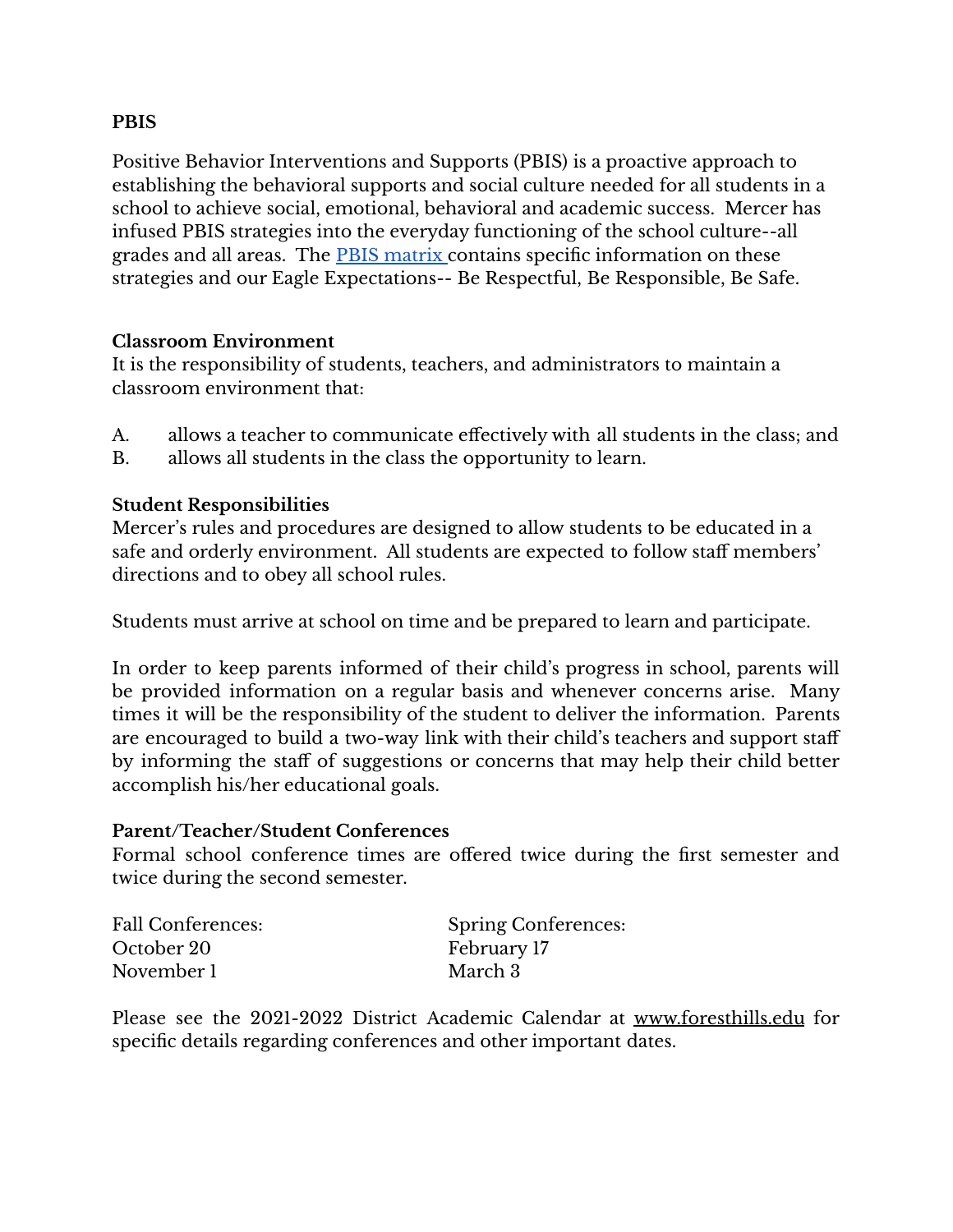#### **PBIS**

Positive Behavior Interventions and Supports (PBIS) is a proactive approach to establishing the behavioral supports and social culture needed for all students in a school to achieve social, emotional, behavioral and academic success. Mercer has infused PBIS strategies into the everyday functioning of the school culture--all grades and all areas. The **PBIS** matrix contains specific information on these strategies and our Eagle Expectations-- Be Respectful, Be Responsible, Be Safe.

#### **Classroom Environment**

It is the responsibility of students, teachers, and administrators to maintain a classroom environment that:

- A. allows a teacher to communicate effectively with all students in the class; and
- B. allows all students in the class the opportunity to learn.

#### **Student Responsibilities**

Mercer's rules and procedures are designed to allow students to be educated in a safe and orderly environment. All students are expected to follow staff members' directions and to obey all school rules.

Students must arrive at school on time and be prepared to learn and participate.

In order to keep parents informed of their child's progress in school, parents will be provided information on a regular basis and whenever concerns arise. Many times it will be the responsibility of the student to deliver the information. Parents are encouraged to build a two-way link with their child's teachers and support staff by informing the staff of suggestions or concerns that may help their child better accomplish his/her educational goals.

#### **Parent/Teacher/Student Conferences**

Formal school conference times are offered twice during the first semester and twice during the second semester.

| Fall Conferences: | <b>Spring Conferences:</b> |
|-------------------|----------------------------|
| October 20        | February 17                |
| November 1        | March 3                    |

Please see the 2021-2022 District Academic Calendar at www.foresthills.edu for specific details regarding conferences and other important dates.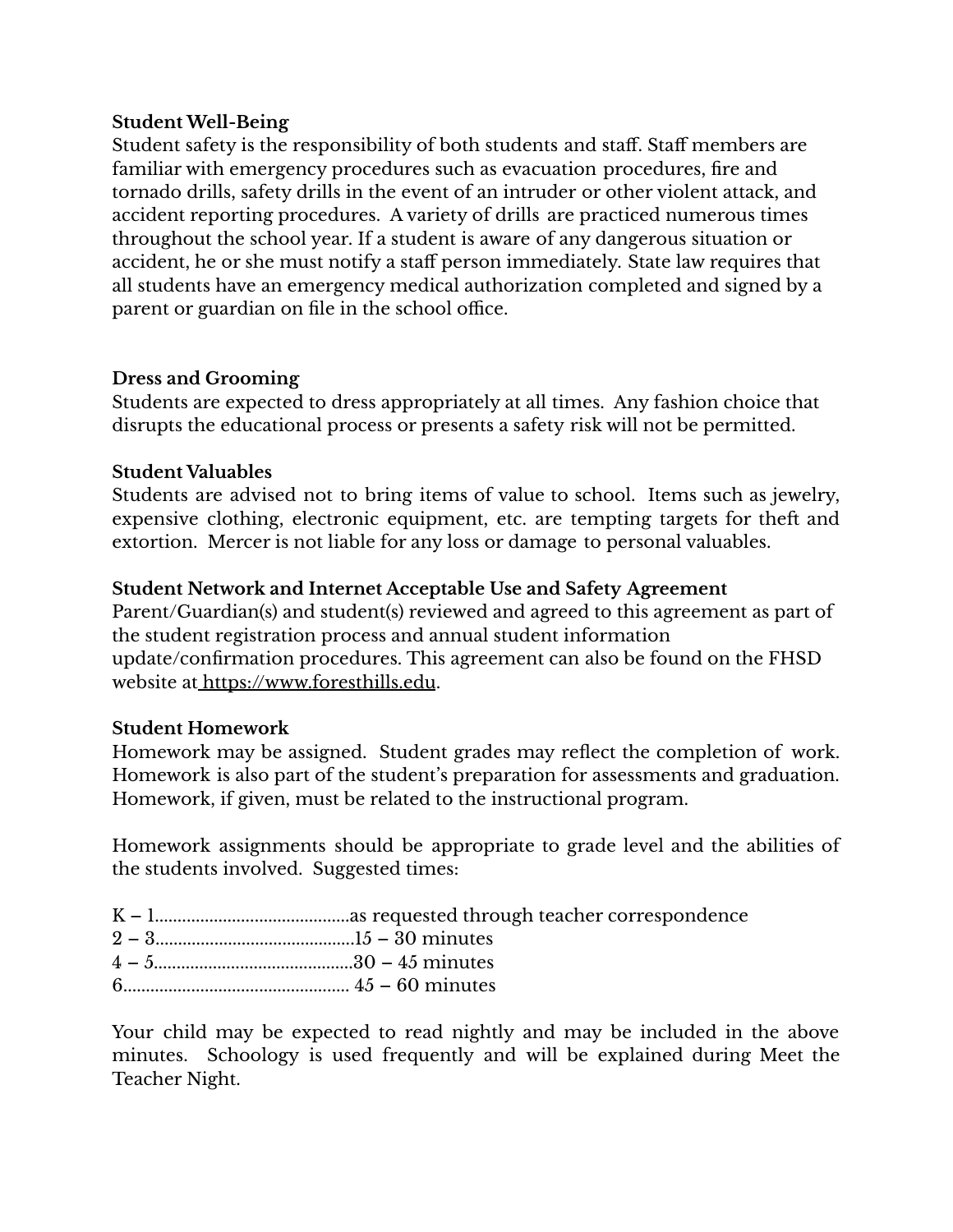#### **Student Well-Being**

Student safety is the responsibility of both students and staff. Staff members are familiar with emergency procedures such as evacuation procedures, fire and tornado drills, safety drills in the event of an intruder or other violent attack, and accident reporting procedures. A variety of drills are practiced numerous times throughout the school year. If a student is aware of any dangerous situation or accident, he or she must notify a staff person immediately. State law requires that all students have an emergency medical authorization completed and signed by a parent or guardian on file in the school office.

#### **Dress and Grooming**

Students are expected to dress appropriately at all times. Any fashion choice that disrupts the educational process or presents a safety risk will not be permitted.

#### **Student Valuables**

Students are advised not to bring items of value to school. Items such as jewelry, expensive clothing, electronic equipment, etc. are tempting targets for theft and extortion. Mercer is not liable for any loss or damage to personal valuables.

#### **Student Network and Internet Acceptable Use and Safety Agreement**

Parent/Guardian(s) and student(s) reviewed and agreed to this agreement as part of the student registration process and annual student information update/confirmation procedures. This agreement can also be found on the FHSD website at https://www.foresthills.edu.

#### **Student Homework**

Homework may be assigned. Student grades may reflect the completion of work. Homework is also part of the student's preparation for assessments and graduation. Homework, if given, must be related to the instructional program.

Homework assignments should be appropriate to grade level and the abilities of the students involved. Suggested times:

- K 1...........................................as requested through teacher correspondence
- 2 3............................................15 30 minutes
- 4 5............................................30 45 minutes
- 6.................................................. 45 60 minutes

Your child may be expected to read nightly and may be included in the above minutes. Schoology is used frequently and will be explained during Meet the Teacher Night.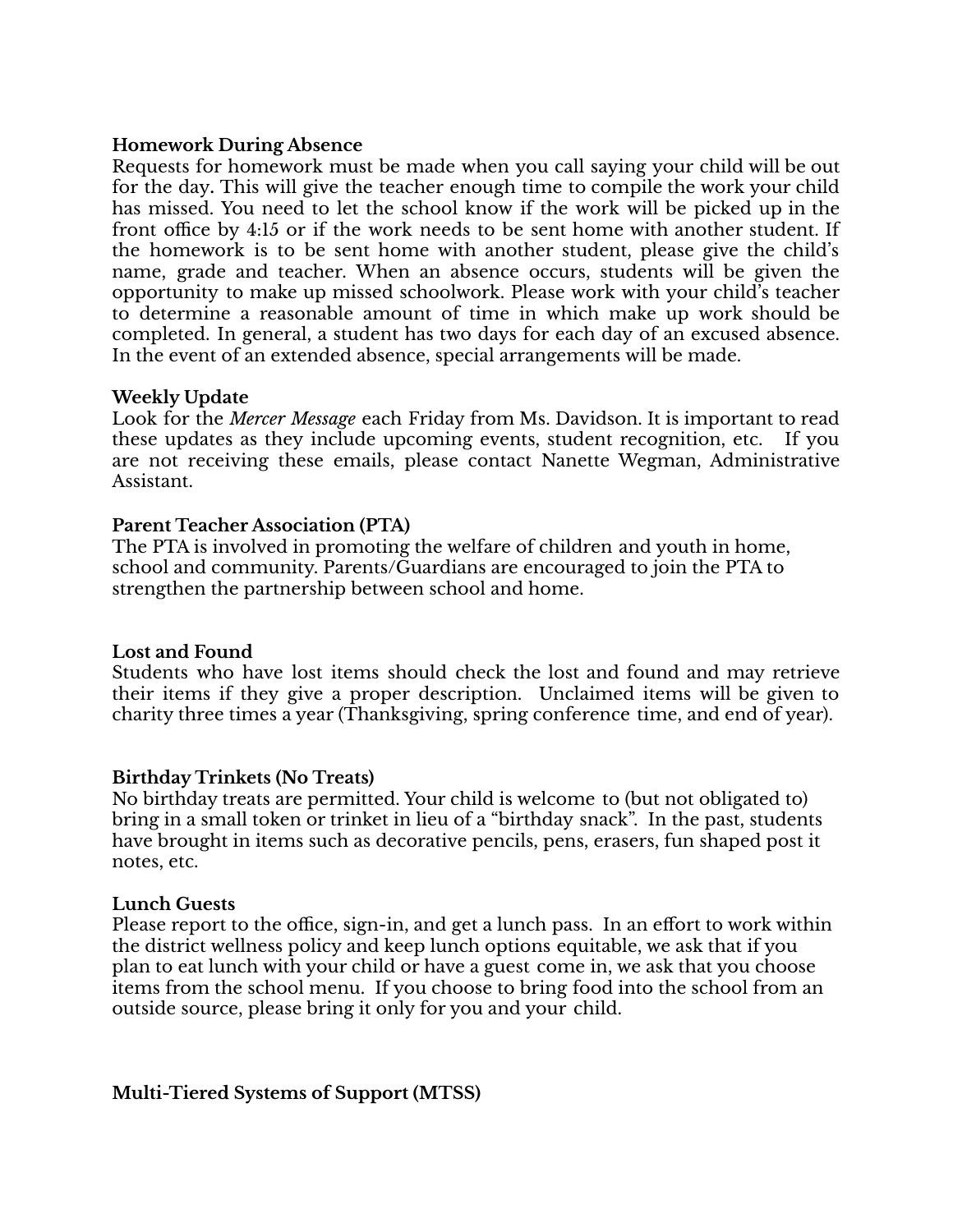#### **Homework During Absence**

Requests for homework must be made when you call saying your child will be out for the day**.** This will give the teacher enough time to compile the work your child has missed. You need to let the school know if the work will be picked up in the front office by 4:15 or if the work needs to be sent home with another student. If the homework is to be sent home with another student, please give the child's name, grade and teacher. When an absence occurs, students will be given the opportunity to make up missed schoolwork. Please work with your child's teacher to determine a reasonable amount of time in which make up work should be completed. In general, a student has two days for each day of an excused absence. In the event of an extended absence, special arrangements will be made.

#### **Weekly Update**

Look for the *Mercer Message* each Friday from Ms. Davidson. It is important to read these updates as they include upcoming events, student recognition, etc. If you are not receiving these emails, please contact Nanette Wegman, Administrative Assistant.

#### **Parent Teacher Association (PTA)**

The PTA is involved in promoting the welfare of children and youth in home, school and community. Parents/Guardians are encouraged to join the PTA to strengthen the partnership between school and home.

#### **Lost and Found**

Students who have lost items should check the lost and found and may retrieve their items if they give a proper description. Unclaimed items will be given to charity three times a year (Thanksgiving, spring conference time, and end of year).

#### **Birthday Trinkets (No Treats)**

No birthday treats are permitted. Your child is welcome to (but not obligated to) bring in a small token or trinket in lieu of a "birthday snack". In the past, students have brought in items such as decorative pencils, pens, erasers, fun shaped post it notes, etc.

#### **Lunch Guests**

Please report to the office, sign-in, and get a lunch pass. In an effort to work within the district wellness policy and keep lunch options equitable, we ask that if you plan to eat lunch with your child or have a guest come in, we ask that you choose items from the school menu. If you choose to bring food into the school from an outside source, please bring it only for you and your child.

**Multi-Tiered Systems of Support (MTSS)**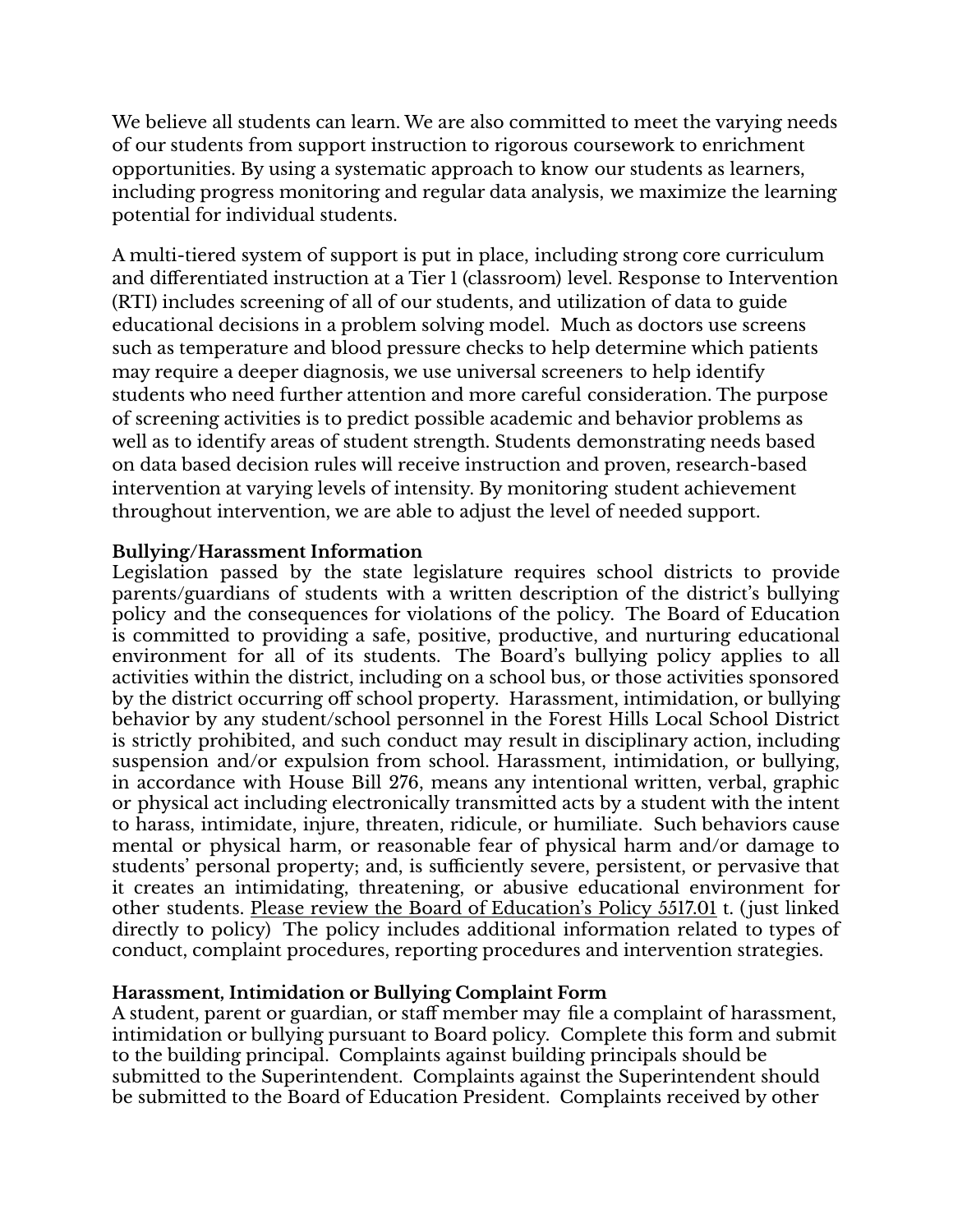We believe all students can learn. We are also committed to meet the varying needs of our students from support instruction to rigorous coursework to enrichment opportunities. By using a systematic approach to know our students as learners, including progress monitoring and regular data analysis, we maximize the learning potential for individual students.

A multi-tiered system of support is put in place, including strong core curriculum and differentiated instruction at a Tier 1 (classroom) level. Response to Intervention (RTI) includes screening of all of our students, and utilization of data to guide educational decisions in a problem solving model. Much as doctors use screens such as temperature and blood pressure checks to help determine which patients may require a deeper diagnosis, we use universal screeners to help identify students who need further attention and more careful consideration. The purpose of screening activities is to predict possible academic and behavior problems as well as to identify areas of student strength. Students demonstrating needs based on data based decision rules will receive instruction and proven, research-based intervention at varying levels of intensity. By monitoring student achievement throughout intervention, we are able to adjust the level of needed support.

#### **Bullying/Harassment Information**

Legislation passed by the state legislature requires school districts to provide parents/guardians of students with a written description of the district's bullying policy and the consequences for violations of the policy. The Board of Education is committed to providing a safe, positive, productive, and nurturing educational environment for all of its students. The Board's bullying policy applies to all activities within the district, including on a school bus, or those activities sponsored by the district occurring off school property. Harassment, intimidation, or bullying behavior by any student/school personnel in the Forest Hills Local School District is strictly prohibited, and such conduct may result in disciplinary action, including suspension and/or expulsion from school. Harassment, intimidation, or bullying, in accordance with House Bill 276, means any intentional written, verbal, graphic or physical act including electronically transmitted acts by a student with the intent to harass, intimidate, injure, threaten, ridicule, or humiliate. Such behaviors cause mental or physical harm, or reasonable fear of physical harm and/or damage to students' personal property; and, is sufficiently severe, persistent, or pervasive that it creates an intimidating, threatening, or abusive educational environment for other students. Please review the Board of Education's Policy 5517.01 t. (just linked directly to policy) The policy includes additional information related to types of conduct, complaint procedures, reporting procedures and intervention strategies.

#### **Harassment, Intimidation or Bullying Complaint Form**

A student, parent or guardian, or staff member may file a complaint of harassment, intimidation or bullying pursuant to Board policy. Complete this form and submit to the building principal. Complaints against building principals should be submitted to the Superintendent. Complaints against the Superintendent should be submitted to the Board of Education President. Complaints received by other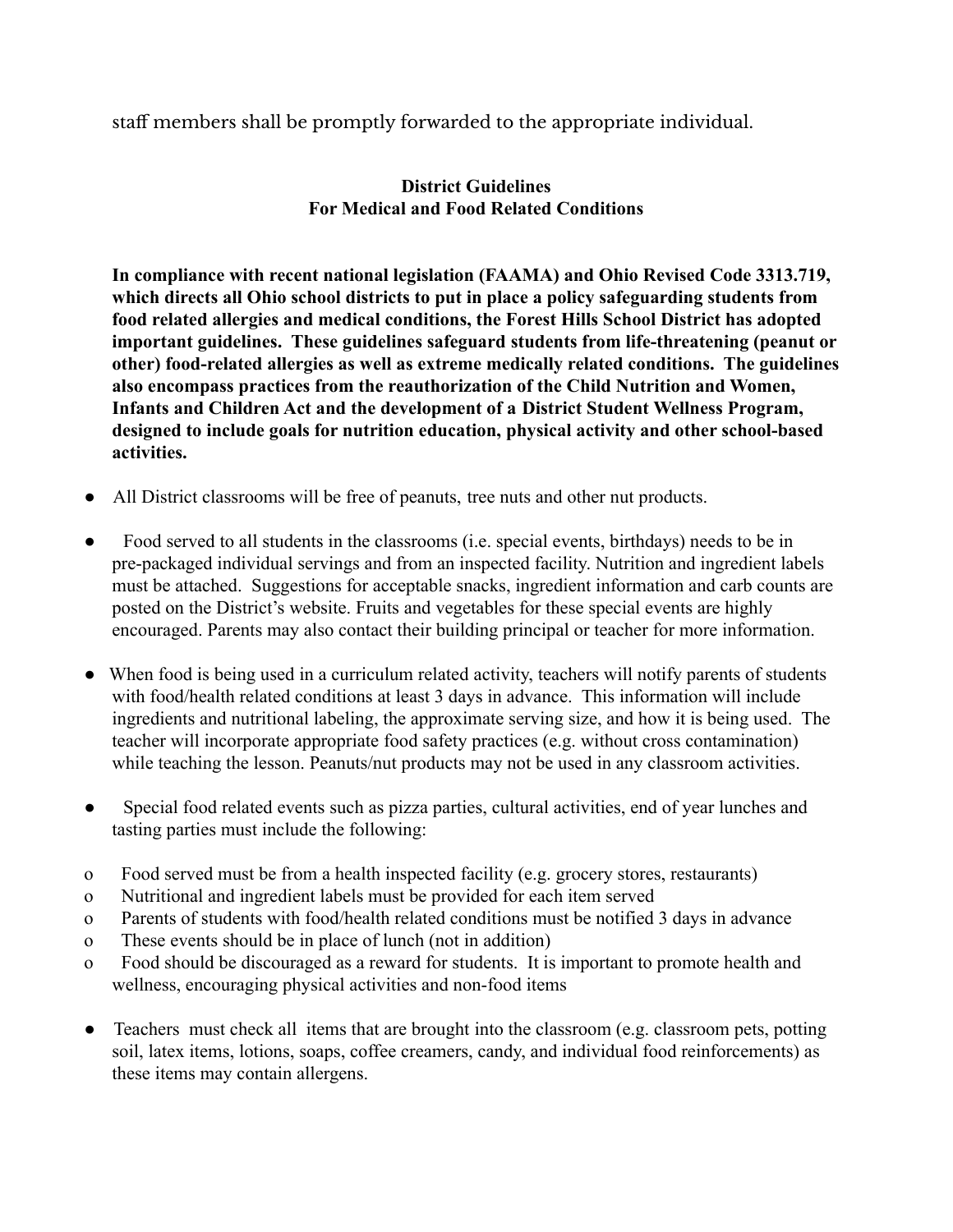staff members shall be promptly forwarded to the appropriate individual.

#### **District Guidelines For Medical and Food Related Conditions**

**In compliance with recent national legislation (FAAMA) and Ohio Revised Code 3313.719, which directs all Ohio school districts to put in place a policy safeguarding students from food related allergies and medical conditions, the Forest Hills School District has adopted important guidelines. These guidelines safeguard students from life-threatening (peanut or other) food-related allergies as well as extreme medically related conditions. The guidelines also encompass practices from the reauthorization of the Child Nutrition and Women, Infants and Children Act and the development of a District Student Wellness Program, designed to include goals for nutrition education, physical activity and other school-based activities.**

- All District classrooms will be free of peanuts, tree nuts and other nut products.
- Food served to all students in the classrooms (i.e. special events, birthdays) needs to be in pre-packaged individual servings and from an inspected facility. Nutrition and ingredient labels must be attached. Suggestions for acceptable snacks, ingredient information and carb counts are posted on the District's website. Fruits and vegetables for these special events are highly encouraged. Parents may also contact their building principal or teacher for more information.
- When food is being used in a curriculum related activity, teachers will notify parents of students with food/health related conditions at least 3 days in advance. This information will include ingredients and nutritional labeling, the approximate serving size, and how it is being used. The teacher will incorporate appropriate food safety practices (e.g. without cross contamination) while teaching the lesson. Peanuts/nut products may not be used in any classroom activities.
- Special food related events such as pizza parties, cultural activities, end of year lunches and tasting parties must include the following:
- o Food served must be from a health inspected facility (e.g. grocery stores, restaurants)
- o Nutritional and ingredient labels must be provided for each item served
- o Parents of students with food/health related conditions must be notified 3 days in advance
- o These events should be in place of lunch (not in addition)
- o Food should be discouraged as a reward for students. It is important to promote health and wellness, encouraging physical activities and non-food items
- Teachers must check all items that are brought into the classroom (e.g. classroom pets, potting soil, latex items, lotions, soaps, coffee creamers, candy, and individual food reinforcements) as these items may contain allergens.